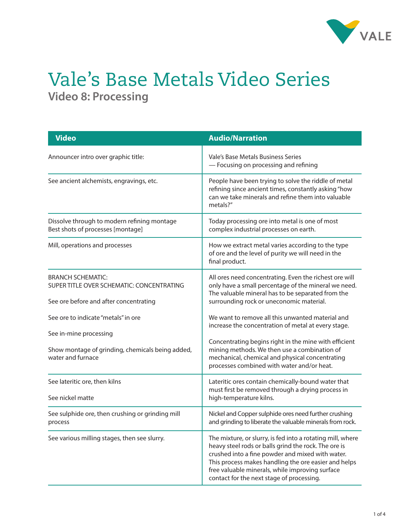

## Vale's Base Metals Video Series **Video 8: Processing**

| <b>Video</b>                                                                                                    | <b>Audio/Narration</b>                                                                                                                                                                                                                                                                                                         |
|-----------------------------------------------------------------------------------------------------------------|--------------------------------------------------------------------------------------------------------------------------------------------------------------------------------------------------------------------------------------------------------------------------------------------------------------------------------|
| Announcer intro over graphic title:                                                                             | Vale's Base Metals Business Series<br>- Focusing on processing and refining                                                                                                                                                                                                                                                    |
| See ancient alchemists, engravings, etc.                                                                        | People have been trying to solve the riddle of metal<br>refining since ancient times, constantly asking "how<br>can we take minerals and refine them into valuable<br>metals?"                                                                                                                                                 |
| Dissolve through to modern refining montage<br>Best shots of processes [montage]                                | Today processing ore into metal is one of most<br>complex industrial processes on earth.                                                                                                                                                                                                                                       |
| Mill, operations and processes                                                                                  | How we extract metal varies according to the type<br>of ore and the level of purity we will need in the<br>final product.                                                                                                                                                                                                      |
| <b>BRANCH SCHEMATIC:</b><br>SUPER TITLE OVER SCHEMATIC: CONCENTRATING<br>See ore before and after concentrating | All ores need concentrating. Even the richest ore will<br>only have a small percentage of the mineral we need.<br>The valuable mineral has to be separated from the<br>surrounding rock or uneconomic material.                                                                                                                |
| See ore to indicate "metals" in ore<br>See in-mine processing                                                   | We want to remove all this unwanted material and<br>increase the concentration of metal at every stage.                                                                                                                                                                                                                        |
| Show montage of grinding, chemicals being added,<br>water and furnace                                           | Concentrating begins right in the mine with efficient<br>mining methods. We then use a combination of<br>mechanical, chemical and physical concentrating<br>processes combined with water and/or heat.                                                                                                                         |
| See lateritic ore, then kilns<br>See nickel matte                                                               | Lateritic ores contain chemically-bound water that<br>must first be removed through a drying process in<br>high-temperature kilns.                                                                                                                                                                                             |
| See sulphide ore, then crushing or grinding mill<br>process                                                     | Nickel and Copper sulphide ores need further crushing<br>and grinding to liberate the valuable minerals from rock.                                                                                                                                                                                                             |
| See various milling stages, then see slurry.                                                                    | The mixture, or slurry, is fed into a rotating mill, where<br>heavy steel rods or balls grind the rock. The ore is<br>crushed into a fine powder and mixed with water.<br>This process makes handling the ore easier and helps<br>free valuable minerals, while improving surface<br>contact for the next stage of processing. |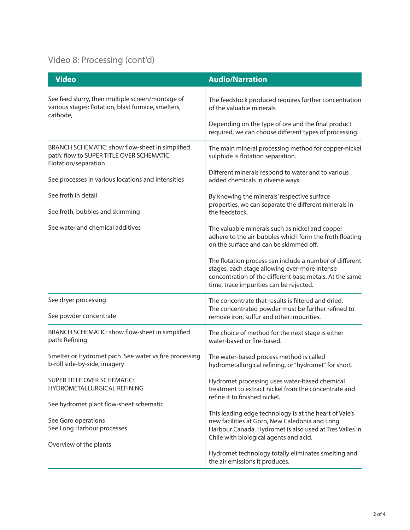## Video 8: Processing (cont'd)

| <b>Video</b>                                                                                                         | <b>Audio/Narration</b>                                                                                                                                                                                         |
|----------------------------------------------------------------------------------------------------------------------|----------------------------------------------------------------------------------------------------------------------------------------------------------------------------------------------------------------|
| See feed slurry, then multiple screen/montage of<br>various stages: flotation, blast furnace, smelters,<br>cathode,  | The feedstock produced requires further concentration<br>of the valuable minerals.<br>Depending on the type of ore and the final product                                                                       |
|                                                                                                                      | required, we can choose different types of processing.                                                                                                                                                         |
| BRANCH SCHEMATIC: show flow-sheet in simplified<br>path: flow to SUPER TITLE OVER SCHEMATIC:<br>Flotation/separation | The main mineral processing method for copper-nickel<br>sulphide is flotation separation.                                                                                                                      |
| See processes in various locations and intensities                                                                   | Different minerals respond to water and to various<br>added chemicals in diverse ways.                                                                                                                         |
| See froth in detail                                                                                                  | By knowing the minerals' respective surface                                                                                                                                                                    |
| See froth, bubbles and skimming                                                                                      | properties, we can separate the different minerals in<br>the feedstock.                                                                                                                                        |
| See water and chemical additives                                                                                     | The valuable minerals such as nickel and copper<br>adhere to the air-bubbles which form the froth floating<br>on the surface and can be skimmed off.                                                           |
|                                                                                                                      | The flotation process can include a number of different<br>stages, each stage allowing ever-more intense<br>concentration of the different base metals. At the same<br>time, trace impurities can be rejected. |
| See dryer processing                                                                                                 | The concentrate that results is filtered and dried.<br>The concentrated powder must be further refined to                                                                                                      |
| See powder concentrate                                                                                               | remove iron, sulfur and other impurities.                                                                                                                                                                      |
| BRANCH SCHEMATIC: show flow-sheet in simplified<br>path: Refining                                                    | The choice of method for the next stage is either<br>water-based or fire-based.                                                                                                                                |
| Smelter or Hydromet path See water vs fire processing<br>b-roll side-by-side, imagery                                | The water-based process method is called<br>hydrometallurgical refining, or "hydromet" for short.                                                                                                              |
| SUPER TITLE OVER SCHEMATIC:<br>HYDROMETALLURGICAL REFINING                                                           | Hydromet processing uses water-based chemical<br>treatment to extract nickel from the concentrate and<br>refine it to finished nickel.                                                                         |
| See hydromet plant flow-sheet schematic                                                                              |                                                                                                                                                                                                                |
| See Goro operations<br>See Long Harbour processes                                                                    | This leading edge technology is at the heart of Vale's<br>new facilities at Goro, New Caledonia and Long<br>Harbour Canada. Hydromet is also used at Tres Valles in<br>Chile with biological agents and acid.  |
| Overview of the plants                                                                                               |                                                                                                                                                                                                                |
|                                                                                                                      | Hydromet technology totally eliminates smelting and<br>the air emissions it produces.                                                                                                                          |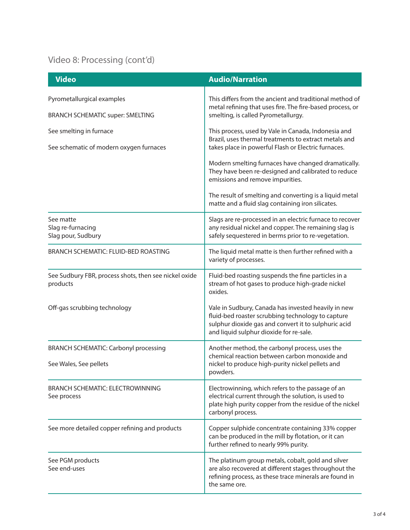## Video 8: Processing (cont'd)

| <b>Video</b>                                                          | <b>Audio/Narration</b>                                                                                                                                                                                      |
|-----------------------------------------------------------------------|-------------------------------------------------------------------------------------------------------------------------------------------------------------------------------------------------------------|
| Pyrometallurgical examples<br><b>BRANCH SCHEMATIC super: SMELTING</b> | This differs from the ancient and traditional method of<br>metal refining that uses fire. The fire-based process, or<br>smelting, is called Pyrometallurgy.                                                 |
|                                                                       |                                                                                                                                                                                                             |
| See smelting in furnace<br>See schematic of modern oxygen furnaces    | This process, used by Vale in Canada, Indonesia and<br>Brazil, uses thermal treatments to extract metals and<br>takes place in powerful Flash or Electric furnaces.                                         |
|                                                                       | Modern smelting furnaces have changed dramatically.<br>They have been re-designed and calibrated to reduce<br>emissions and remove impurities.                                                              |
|                                                                       | The result of smelting and converting is a liquid metal<br>matte and a fluid slag containing iron silicates.                                                                                                |
| See matte<br>Slag re-furnacing<br>Slag pour, Sudbury                  | Slags are re-processed in an electric furnace to recover<br>any residual nickel and copper. The remaining slag is<br>safely sequestered in berms prior to re-vegetation.                                    |
| <b>BRANCH SCHEMATIC: FLUID-BED ROASTING</b>                           | The liquid metal matte is then further refined with a<br>variety of processes.                                                                                                                              |
| See Sudbury FBR, process shots, then see nickel oxide<br>products     | Fluid-bed roasting suspends the fine particles in a<br>stream of hot gases to produce high-grade nickel<br>oxides.                                                                                          |
| Off-gas scrubbing technology                                          | Vale in Sudbury, Canada has invested heavily in new<br>fluid-bed roaster scrubbing technology to capture<br>sulphur dioxide gas and convert it to sulphuric acid<br>and liquid sulphur dioxide for re-sale. |
| <b>BRANCH SCHEMATIC: Carbonyl processing</b>                          | Another method, the carbonyl process, uses the<br>chemical reaction between carbon monoxide and<br>nickel to produce high-purity nickel pellets and<br>powders.                                             |
| See Wales, See pellets                                                |                                                                                                                                                                                                             |
| <b>BRANCH SCHEMATIC: ELECTROWINNING</b><br>See process                | Electrowinning, which refers to the passage of an<br>electrical current through the solution, is used to<br>plate high purity copper from the residue of the nickel<br>carbonyl process.                    |
| See more detailed copper refining and products                        | Copper sulphide concentrate containing 33% copper<br>can be produced in the mill by flotation, or it can<br>further refined to nearly 99% purity.                                                           |
| See PGM products<br>See end-uses                                      | The platinum group metals, cobalt, gold and silver<br>are also recovered at different stages throughout the<br>refining process, as these trace minerals are found in<br>the same ore.                      |